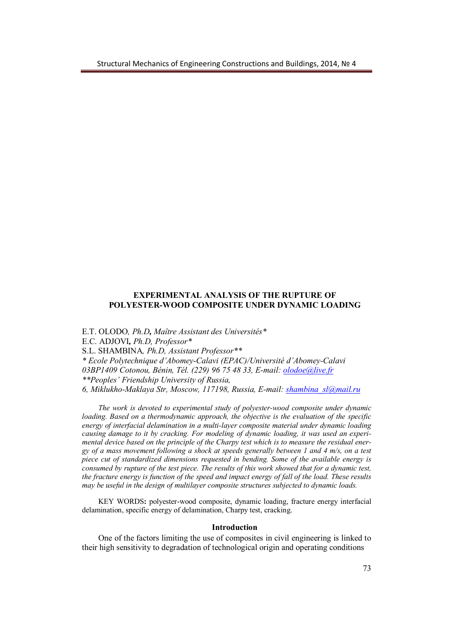## **EXPERIMENTAL ANALYSIS OF THE RUPTURE OF POLYESTER-WOOD COMPOSITE UNDER DYNAMIC LOADING**

E.T. OLODO*, Ph.D, Maître Assistant des Universités\** E.C. ADJOVI*, Ph.D, Professor\** S.L. SHAMBINA*, Ph.D, Assistant Professor\*\* \* Ecole Polytechnique d'Abomey-Calavi (EPAC)/Université d'Abomey-Calavi 03BP1409 Cotonou, Bénin, Tél. (229) 96 75 48 33, E-mail: olodoe@live.fr \*\*Peoples' Friendship University of Russia, 6, Miklukho-Maklaya Str, Moscow, 117198, Russia, E-mail: shambina\_sl@mail.ru*

*The work is devoted to experimental study of polyester-wood composite under dynamic loading. Based on a thermodynamic approach, the objective is the evaluation of the specific energy of interfacial delamination in a multi-layer composite material under dynamic loading causing damage to it by cracking. For modeling of dynamic loading, it was used an experimental device based on the principle of the Charpy test which is to measure the residual energy of a mass movement following a shock at speeds generally between 1 and 4 m/s, on a test piece cut of standardized dimensions requested in bending. Some of the available energy is consumed by rupture of the test piece. The results of this work showed that for a dynamic test, the fracture energy is function of the speed and impact energy of fall of the load. These results may be useful in the design of multilayer composite structures subjected to dynamic loads.*

KEY WORDS**:** polyester-wood composite, dynamic loading, fracture energy interfacial delamination, specific energy of delamination, Charpy test, cracking.

### **Introduction**

One of the factors limiting the use of composites in civil engineering is linked to their high sensitivity to degradation of technological origin and operating conditions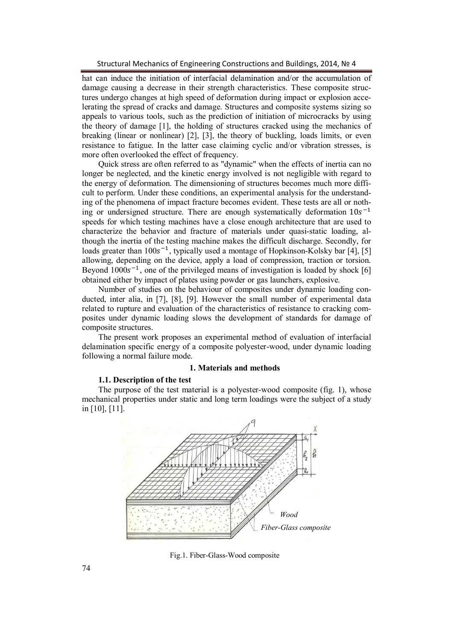Structural Mechanics of Engineering Constructions and Buildings, 2014, № 4

hat can induce the initiation of interfacial delamination and/or the accumulation of damage causing a decrease in their strength characteristics. These composite structures undergo changes at high speed of deformation during impact or explosion accelerating the spread of cracks and damage. Structures and composite systems sizing so appeals to various tools, such as the prediction of initiation of microcracks by using the theory of damage [1], the holding of structures cracked using the mechanics of breaking (linear or nonlinear) [2], [3], the theory of buckling, loads limits, or even resistance to fatigue. In the latter case claiming cyclic and/or vibration stresses, is more often overlooked the effect of frequency.

Quick stress are often referred to as "dynamic" when the effects of inertia can no longer be neglected, and the kinetic energy involved is not negligible with regard to the energy of deformation. The dimensioning of structures becomes much more difficult to perform. Under these conditions, an experimental analysis for the understanding of the phenomena of impact fracture becomes evident. These tests are all or nothing or undersigned structure. There are enough systematically deformation  $10s^{-1}$ speeds for which testing machines have a close enough architecture that are used to characterize the behavior and fracture of materials under quasi-static loading, although the inertia of the testing machine makes the difficult discharge. Secondly, for loads greater than  $100s^{-1}$ , typically used a montage of Hopkinson-Kolsky bar [4], [5] allowing, depending on the device, apply a load of compression, traction or torsion. Beyond  $1000s^{-1}$ , one of the privileged means of investigation is loaded by shock [6] obtained either by impact of plates using powder or gas launchers, explosive.

Number of studies on the behaviour of composites under dynamic loading conducted, inter alia, in [7], [8], [9]. However the small number of experimental data related to rupture and evaluation of the characteristics of resistance to cracking composites under dynamic loading slows the development of standards for damage of composite structures.

The present work proposes an experimental method of evaluation of interfacial delamination specific energy of a composite polyester-wood, under dynamic loading following a normal failure mode.

### **1. Materials and methods**

### **1.1. Description of the test**

The purpose of the test material is a polyester-wood composite (fig. 1), whose mechanical properties under static and long term loadings were the subject of a study in [10], [11].



Fig.1. Fiber-Glass-Wood composite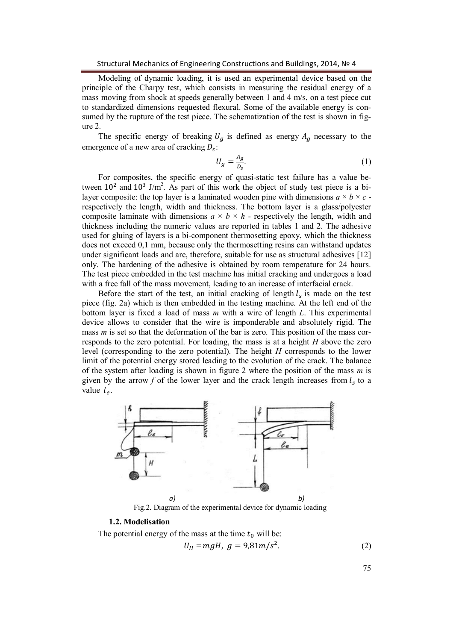Modeling of dynamic loading, it is used an experimental device based on the principle of the Charpy test, which consists in measuring the residual energy of a mass moving from shock at speeds generally between 1 and 4 m/s, on a test piece cut to standardized dimensions requested flexural. Some of the available energy is consumed by the rupture of the test piece. The schematization of the test is shown in figure 2.

The specific energy of breaking  $U<sub>g</sub>$  is defined as energy  $A<sub>g</sub>$  necessary to the emergence of a new area of cracking  $D_s$ :

$$
U_g = \frac{A_g}{D_s}.\tag{1}
$$

For composites, the specific energy of quasi-static test failure has a value between  $10^2$  and  $10^3$  J/m<sup>2</sup>. As part of this work the object of study test piece is a bilayer composite: the top layer is a laminated wooden pine with dimensions  $a \times b \times c$  respectively the length, width and thickness. The bottom layer is a glass/polyester composite laminate with dimensions  $a \times b \times h$  - respectively the length, width and thickness including the numeric values are reported in tables 1 and 2. The adhesive used for gluing of layers is a bi-component thermosetting epoxy, which the thickness does not exceed 0,1 mm, because only the thermosetting resins can withstand updates under significant loads and are, therefore, suitable for use as structural adhesives [12] only. The hardening of the adhesive is obtained by room temperature for 24 hours. The test piece embedded in the test machine has initial cracking and undergoes a load with a free fall of the mass movement, leading to an increase of interfacial crack.

Before the start of the test, an initial cracking of length  $l_s$  is made on the test piece (fig. 2a) which is then embedded in the testing machine. At the left end of the bottom layer is fixed a load of mass *m* with a wire of length *L*. This experimental device allows to consider that the wire is imponderable and absolutely rigid. The mass *m* is set so that the deformation of the bar is zero. This position of the mass corresponds to the zero potential. For loading, the mass is at a height *H* above the zero level (corresponding to the zero potential). The height *H* corresponds to the lower limit of the potential energy stored leading to the evolution of the crack. The balance of the system after loading is shown in figure 2 where the position of the mass *m* is given by the arrow  $f$  of the lower layer and the crack length increases from  $l_s$  to a value  $l_e$ .



# **1.2. Modelisation**

The potential energy of the mass at the time  $t_0$  will be:

$$
U_H = mgH, \ g = 9.81m/s^2. \tag{2}
$$

75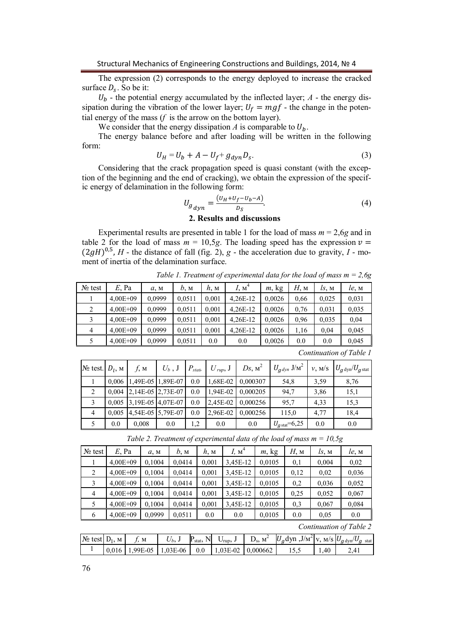The expression (2) corresponds to the energy deployed to increase the cracked surface  $D_s$ . So be it:

 $U_b$  - the potential energy accumulated by the inflected layer;  $A$  - the energy dissipation during the vibration of the lower layer;  $U_f = mgf$  - the change in the potential energy of the mass (*f* is the arrow on the bottom layer).

We consider that the energy dissipation *A* is comparable to  $U_h$ .

The energy balance before and after loading will be written in the following form:

$$
U_H = U_b + A - U_f + g_{dyn} D_s. \tag{3}
$$

Considering that the crack propagation speed is quasi constant (with the exception of the beginning and the end of cracking), we obtain the expression of the specific energy of delamination in the following form:

$$
U_{g}{}_{dyn} = \frac{(U_H + U_f - U_b - A)}{D_S}.\tag{4}
$$

### **2. Results and discussions**

Experimental results are presented in table 1 for the load of mass  $m = 2.6g$  and in table 2 for the load of mass  $m = 10, 5g$ . The loading speed has the expression  $v =$  $(2gH)^{0,5}$ , *H* - the distance of fall (fig. 2), *g* - the acceleration due to gravity, *I* - moment of inertia of the delamination surface.

| $N_2$ test     | $E$ , Pa                | a, M   | b, M   | $h_{\rm M}$ | I, M <sup>4</sup> | m, kg  | Н, м | $l_s$ , M | le, M |  |
|----------------|-------------------------|--------|--------|-------------|-------------------|--------|------|-----------|-------|--|
|                | $4,00E + 09$            | 0,0999 | 0.0511 | 0,001       | 4,26E-12          | 0,0026 | 0.66 | 0.025     | 0.031 |  |
| $\overline{2}$ | $4,00E + 09$            | 0,0999 | 0.0511 | 0,001       | 4,26E-12          | 0,0026 | 0.76 | 0.031     | 0,035 |  |
| 3              | $4,00E + 09$            | 0,0999 | 0.0511 | 0,001       | 4,26E-12          | 0,0026 | 0.96 | 0.035     | 0,04  |  |
| 4              | $4,00E + 09$            | 0,0999 | 0.0511 | 0,001       | 4,26E-12          | 0,0026 | 1,16 | 0.04      | 0,045 |  |
| 5              | $4,00E + 09$            | 0,0999 | 0.0511 | 0.0         | 0.0               | 0,0026 | 0.0  | 0.0       | 0,045 |  |
|                | Continuation of Table 1 |        |        |             |                   |        |      |           |       |  |

*Table 1. Treatment of experimental data for the load of mass m = 2,6g*

| $No$ test. $Dl$ , м |       | $f_{\rm M}$ | $U_b$ , J                 | $P_{stat}$ | $U_{rup}$ , J | $Ds, M^2$ | $U_{g\,dyn}$ J/ $\text{M}^2$ | v, M/S | $U_{g\,\text{dyn}}/U_{g\,\text{stat}}$ |
|---------------------|-------|-------------|---------------------------|------------|---------------|-----------|------------------------------|--------|----------------------------------------|
|                     | 0.006 |             | 1,49E-05 1,89E-07         | 0.0        | $1,68E-02$    | 0,000307  | 54,8                         | 3.59   | 8.76                                   |
| 2                   | 0.004 |             | 2,14E-05 2,73E-07         | 0.0        | $1,94E-02$    | 0.000205  | 94,7                         | 3.86   | 15,1                                   |
| 3                   |       |             | $0,005$ 3,19E-05 4,07E-07 | 0.0        | 2,45E-02      | 0.000256  | 95,7                         | 4,33   | 15,3                                   |
| $\overline{4}$      | 0.005 |             | 4,54E-05 5,79E-07         | 0.0        | 2,96E-02      | 0.000256  | 115,0                        | 4,77   | 18,4                                   |
|                     | 0.0   | 0.008       | 0.0                       | 1,2        | 0.0           | 0.0       | $U_{\text{g stat}} = 6,25$   | 0.0    | 0.0                                    |

*Table 2. Treatment of experimental data of the load of mass m = 10,5g*

| $N_2$ test     | $E$ , Pa     | a, M   | b, M   | h, M  | I, M <sup>4</sup> | m, kg  | $H$ , м | $l_s$ , M | le, M |
|----------------|--------------|--------|--------|-------|-------------------|--------|---------|-----------|-------|
|                | $4,00E + 09$ | 0,1004 | 0,0414 | 0,001 | 3,45E-12          | 0.0105 | 0,1     | 0,004     | 0,02  |
| 2              | $4,00E + 09$ | 0,1004 | 0,0414 | 0,001 | 3,45E-12          | 0.0105 | 0,12    | 0.02      | 0,036 |
| 3              | $4,00E + 09$ | 0,1004 | 0,0414 | 0,001 | 3,45E-12          | 0.0105 | 0,2     | 0.036     | 0.052 |
| $\overline{4}$ | $4,00E + 09$ | 0,1004 | 0,0414 | 0,001 | 3,45E-12          | 0,0105 | 0,25    | 0.052     | 0,067 |
| 5              | $4,00E + 09$ | 0,1004 | 0.0414 | 0,001 | 3,45E-12          | 0.0105 | 0,3     | 0,067     | 0.084 |
| 6              | $4,00E + 09$ | 0.0999 | 0.0511 | 0.0   | 0.0               | 0.0105 | 0.0     | 0,05      | 0.0   |

*Continuation of Table 2*

| $N_2$ test $D_1$ , | M | M      |           | ۳<br>stat: | $^{\prime}$ rup, | $M^{\sim}$ | $U_q$ dyn, J/M <sup>2</sup>  v, M/S  $U_q$ <sub>dyn</sub> / $U_q$ <sub>stat</sub> |      |  |
|--------------------|---|--------|-----------|------------|------------------|------------|-----------------------------------------------------------------------------------|------|--|
|                    |   | 99E-05 | $.03E-06$ |            | $1,03E-02$       | 0.000662   |                                                                                   | 1.40 |  |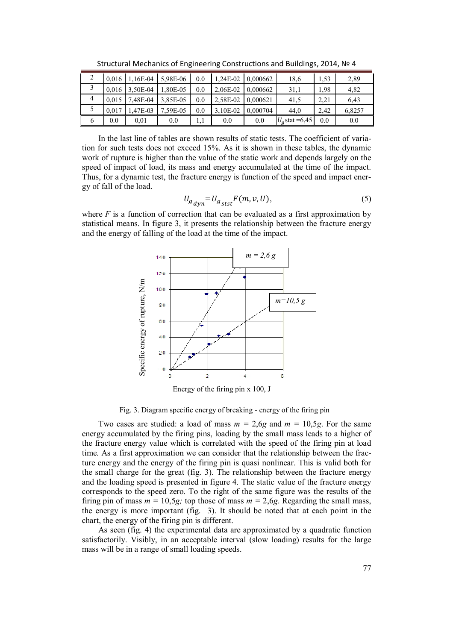| ∠ |       | $0.016$ 1.16E-04 | 5.98E-06 | 0.0 | 1.24E-02 | 0.000662 | 18,6             | 1.53 | 2,89   |
|---|-------|------------------|----------|-----|----------|----------|------------------|------|--------|
|   |       | 0,016 3,50E-04   | 1,80E-05 | 0.0 | 2,06E-02 | 0.000662 | 31,1             | 1.98 | 4,82   |
| 4 | 0.015 | 7,48E-04         | 3,85E-05 | 0.0 | 2.58E-02 | 0.000621 | 41,5             | 2.21 | 6.43   |
|   | 0.017 | 1.47E-03         | 7.59E-05 | 0.0 | 3.10E-02 | 0.000704 | 44,0             | 2.42 | 6,8257 |
| O | 0.0   | 0.01             | 0.0      |     | 0.0      | 0.0      | $U_q$ stat =6,45 | 0.0  | 0.0    |

Structural Mechanics of Engineering Constructions and Buildings, 2014, № 4

In the last line of tables are shown results of static tests. The coefficient of variation for such tests does not exceed 15%. As it is shown in these tables, the dynamic work of rupture is higher than the value of the static work and depends largely on the speed of impact of load, its mass and energy accumulated at the time of the impact. Thus, for a dynamic test, the fracture energy is function of the speed and impact energy of fall of the load.

$$
U_{g}U_{g} = U_{g} + E(m, v, U),\tag{5}
$$

where  $F$  is a function of correction that can be evaluated as a first approximation by statistical means. In figure 3, it presents the relationship between the fracture energy and the energy of falling of the load at the time of the impact.



Energy of the firing pin x 100, J

Fig. 3. Diagram specific energy of breaking - energy of the firing pin

Two cases are studied: a load of mass  $m = 2.6g$  and  $m = 10.5g$ . For the same energy accumulated by the firing pins, loading by the small mass leads to a higher of the fracture energy value which is correlated with the speed of the firing pin at load time. As a first approximation we can consider that the relationship between the fracture energy and the energy of the firing pin is quasi nonlinear. This is valid both for the small charge for the great (fig. 3). The relationship between the fracture energy and the loading speed is presented in figure 4. The static value of the fracture energy corresponds to the speed zero. To the right of the same figure was the results of the firing pin of mass  $m = 10,5g$ ; top those of mass  $m = 2,6g$ . Regarding the small mass, the energy is more important (fig. 3). It should be noted that at each point in the chart, the energy of the firing pin is different. Example 1<br>
Example 2<br>
Example 2<br>
USBN 0<br>
CONFIGURE 2<br>
USBN 0<br>
CONFIGURE 2<br>
Energy of the firing pi<br>
Fig. 3. Diagram specific energy of break<br>
Two cases are studied: a load of mass *m*<br>
energy accumulated by the firing pin

As seen (fig. 4) the experimental data are approximated by a quadratic function satisfactorily. Visibly, in an acceptable interval (slow loading) results for the large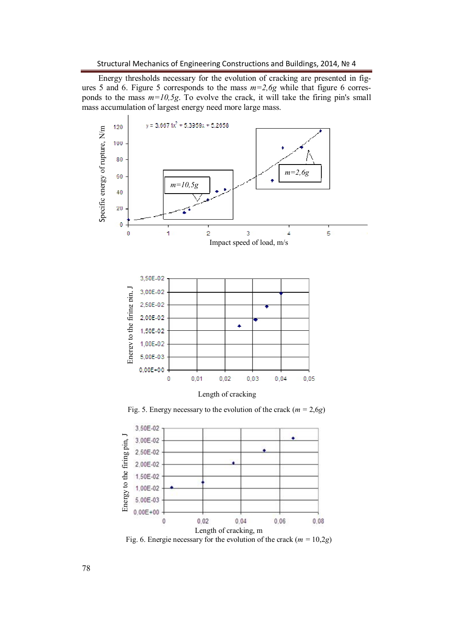Energy thresholds necessary for the evolution of cracking are presented in figures 5 and 6. Figure 5 corresponds to the mass *m=2,6g* while that figure 6 corresponds to the mass *m=10,5g*. To evolve the crack, it will take the firing pin's small mass accumulation of largest energy need more large mass.



Fig. 5. Energy necessary to the evolution of the crack  $(m = 2.6g)$